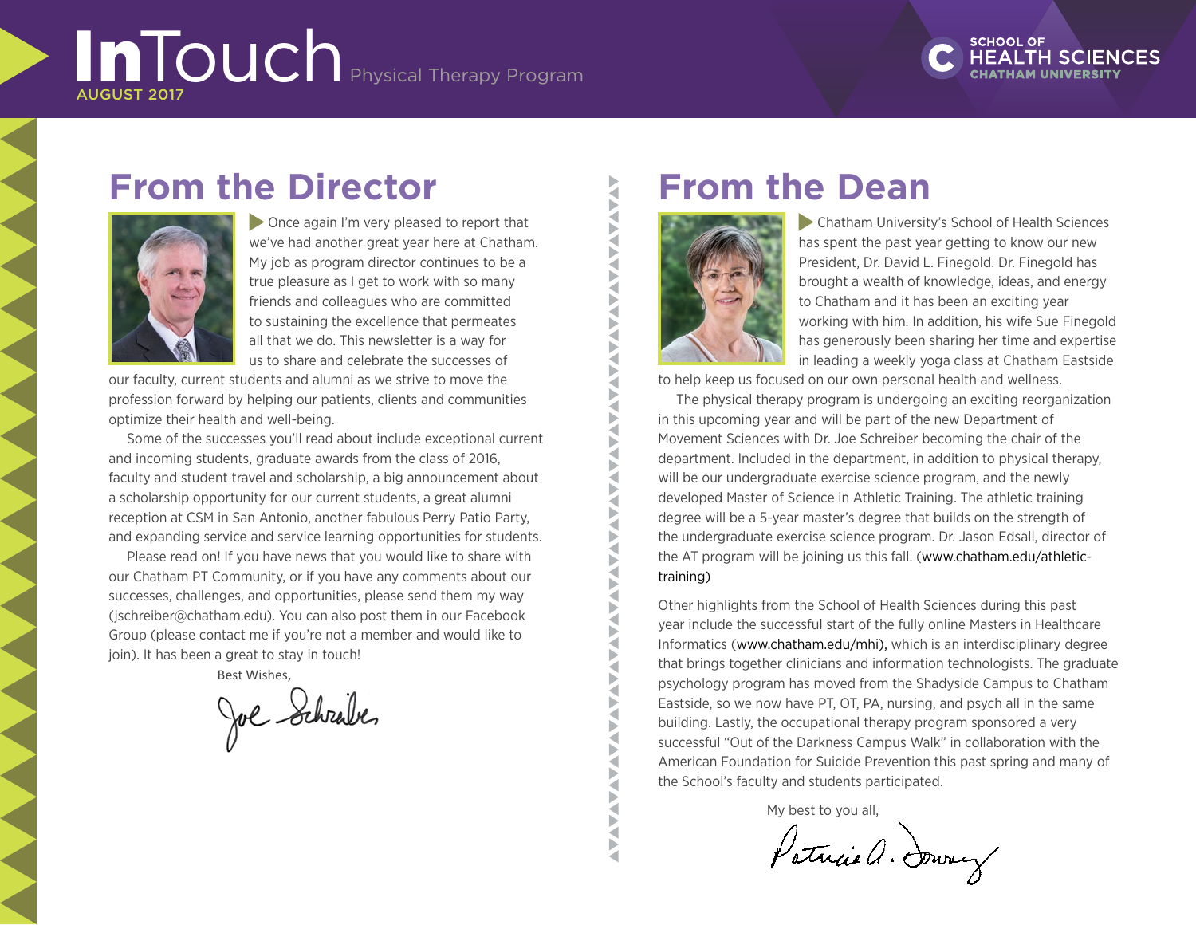# InTouch Physical Therapy Program AUGUST 2017



# **From the Director**



**Once again I'm very pleased to report that** we've had another great year here at Chatham. My job as program director continues to be a true pleasure as I get to work with so many friends and colleagues who are committed to sustaining the excellence that permeates all that we do. This newsletter is a way for us to share and celebrate the successes of

our faculty, current students and alumni as we strive to move the profession forward by helping our patients, clients and communities optimize their health and well-being.

Some of the successes you'll read about include exceptional current and incoming students, graduate awards from the class of 2016, faculty and student travel and scholarship, a big announcement about a scholarship opportunity for our current students, a great alumni reception at CSM in San Antonio, another fabulous Perry Patio Party, and expanding service and service learning opportunities for students.

Please read on! If you have news that you would like to share with our Chatham PT Community, or if you have any comments about our successes, challenges, and opportunities, please send them my way (jschreiber@chatham.edu). You can also post them in our Facebook Group (please contact me if you're not a member and would like to join). It has been a great to stay in touch!

Best Wishes,

Joe Schrabe.

Þ Š **AVAV** ь a

# **From the Dean**



 Chatham University's School of Health Sciences has spent the past year getting to know our new President, Dr. David L. Finegold. Dr. Finegold has brought a wealth of knowledge, ideas, and energy to Chatham and it has been an exciting year working with him. In addition, his wife Sue Finegold has generously been sharing her time and expertise in leading a weekly yoga class at Chatham Eastside

to help keep us focused on our own personal health and wellness.

The physical therapy program is undergoing an exciting reorganization in this upcoming year and will be part of the new Department of Movement Sciences with Dr. Joe Schreiber becoming the chair of the department. Included in the department, in addition to physical therapy, will be our undergraduate exercise science program, and the newly developed Master of Science in Athletic Training. The athletic training degree will be a 5-year master's degree that builds on the strength of the undergraduate exercise science program. Dr. Jason Edsall, director of the AT program will be joining us this fall. (www[.chatham.edu/athletic](https://www.chatham.edu/athletic-training/))[training\)](https://www.chatham.edu/athletic-training/))

Other highlights from the School of Health Sciences during this past year include the successful start of the fully online Masters in Healthcare Informatics ([www.chatham.edu/mhi\),](https://www.chatham.edu/mhi/)) which is an interdisciplinary degree that brings together clinicians and information technologists. The graduate psychology program has moved from the Shadyside Campus to Chatham Eastside, so we now have PT, OT, PA, nursing, and psych all in the same building. Lastly, the occupational therapy program sponsored a very successful "Out of the Darkness Campus Walk" in collaboration with the American Foundation for Suicide Prevention this past spring and many of the School's faculty and students participated.

My best to you all,

Patricia a. Durry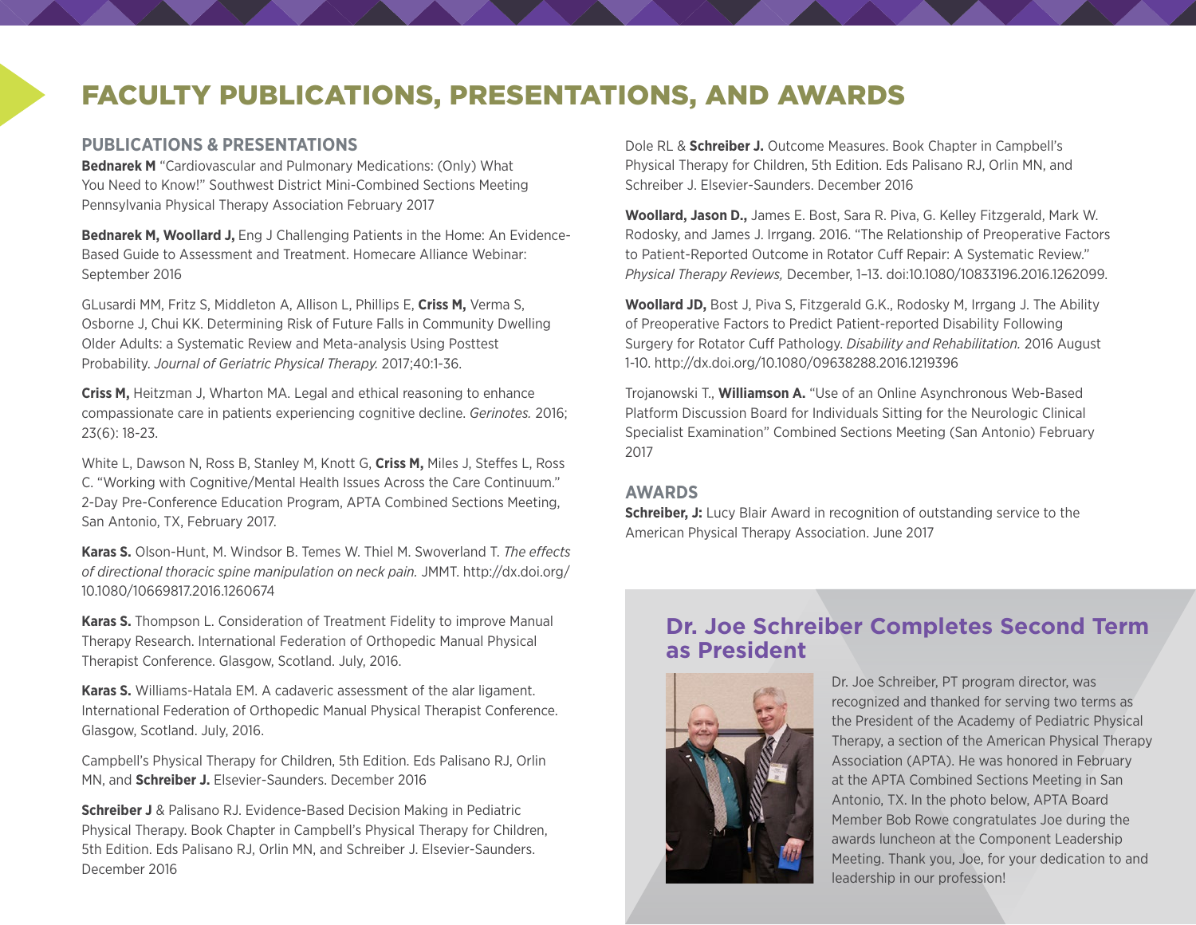### FACULTY PUBLICATIONS, PRESENTATIONS, AND AWARDS

#### **PUBLICATIONS & PRESENTATIONS**

**Bednarek M** "Cardiovascular and Pulmonary Medications: (Only) What You Need to Know!" Southwest District Mini-Combined Sections Meeting Pennsylvania Physical Therapy Association February 2017

**Bednarek M, Woollard J,** Eng J Challenging Patients in the Home: An Evidence-Based Guide to Assessment and Treatment. Homecare Alliance Webinar: September 2016

GLusardi MM, Fritz S, Middleton A, Allison L, Phillips E, **Criss M,** Verma S, Osborne J, Chui KK. Determining Risk of Future Falls in Community Dwelling Older Adults: a Systematic Review and Meta-analysis Using Posttest Probability. *Journal of Geriatric Physical Therapy.* 2017;40:1-36.

**Criss M,** Heitzman J, Wharton MA. Legal and ethical reasoning to enhance compassionate care in patients experiencing cognitive decline. *Gerinotes.* 2016; 23(6): 18-23.

White L, Dawson N, Ross B, Stanley M, Knott G, **Criss M,** Miles J, Steffes L, Ross C. "Working with Cognitive/Mental Health Issues Across the Care Continuum." 2-Day Pre-Conference Education Program, APTA Combined Sections Meeting, San Antonio, TX, February 2017.

**Karas S.** Olson-Hunt, M. Windsor B. Temes W. Thiel M. Swoverland T. *The effects of directional thoracic spine manipulation on neck pain.* JMMT. [http://dx.doi.org/](http://dx.doi.org/10.1080/10669817.2016.1260674) [10.1080/10669817.2016.1260674](http://dx.doi.org/10.1080/10669817.2016.1260674)

**Karas S.** Thompson L. Consideration of Treatment Fidelity to improve Manual Therapy Research. International Federation of Orthopedic Manual Physical Therapist Conference. Glasgow, Scotland. July, 2016.

**Karas S.** Williams-Hatala EM. A cadaveric assessment of the alar ligament. International Federation of Orthopedic Manual Physical Therapist Conference. Glasgow, Scotland. July, 2016.

Campbell's Physical Therapy for Children, 5th Edition. Eds Palisano RJ, Orlin MN, and **Schreiber J.** Elsevier-Saunders. December 2016

**Schreiber J** & Palisano RJ. Evidence-Based Decision Making in Pediatric Physical Therapy. Book Chapter in Campbell's Physical Therapy for Children, 5th Edition. Eds Palisano RJ, Orlin MN, and Schreiber J. Elsevier-Saunders. December 2016

Dole RL & **Schreiber J.** Outcome Measures. Book Chapter in Campbell's Physical Therapy for Children, 5th Edition. Eds Palisano RJ, Orlin MN, and Schreiber J. Elsevier-Saunders. December 2016

**Woollard, Jason D.,** James E. Bost, Sara R. Piva, G. Kelley Fitzgerald, Mark W. Rodosky, and James J. Irrgang. 2016. "The Relationship of Preoperative Factors to Patient-Reported Outcome in Rotator Cuff Repair: A Systematic Review." *Physical Therapy Reviews,* December, 1–13. <doi:10.1080/10833196.2016.1262099>.

**Woollard JD,** Bost J, Piva S, Fitzgerald G.K., Rodosky M, Irrgang J. The Ability of Preoperative Factors to Predict Patient-reported Disability Following Surgery for Rotator Cuff Pathology. *Disability and Rehabilitation.* 2016 August 1-10.<http://dx.doi.org/10.1080/09638288.2016.1219396>

Trojanowski T., **Williamson A.** "Use of an Online Asynchronous Web-Based Platform Discussion Board for Individuals Sitting for the Neurologic Clinical Specialist Examination" Combined Sections Meeting (San Antonio) February 2017

#### **AWARDS**

**Schreiber, J:** Lucy Blair Award in recognition of outstanding service to the American Physical Therapy Association. June 2017

#### **Dr. Joe Schreiber Completes Second Term as President**



Dr. Joe Schreiber, PT program director, was recognized and thanked for serving two terms as the President of the Academy of Pediatric Physical Therapy, a section of the American Physical Therapy Association (APTA). He was honored in February at the APTA Combined Sections Meeting in San Antonio, TX. In the photo below, APTA Board Member Bob Rowe congratulates Joe during the awards luncheon at the Component Leadership Meeting. Thank you, Joe, for your dedication to and leadership in our profession!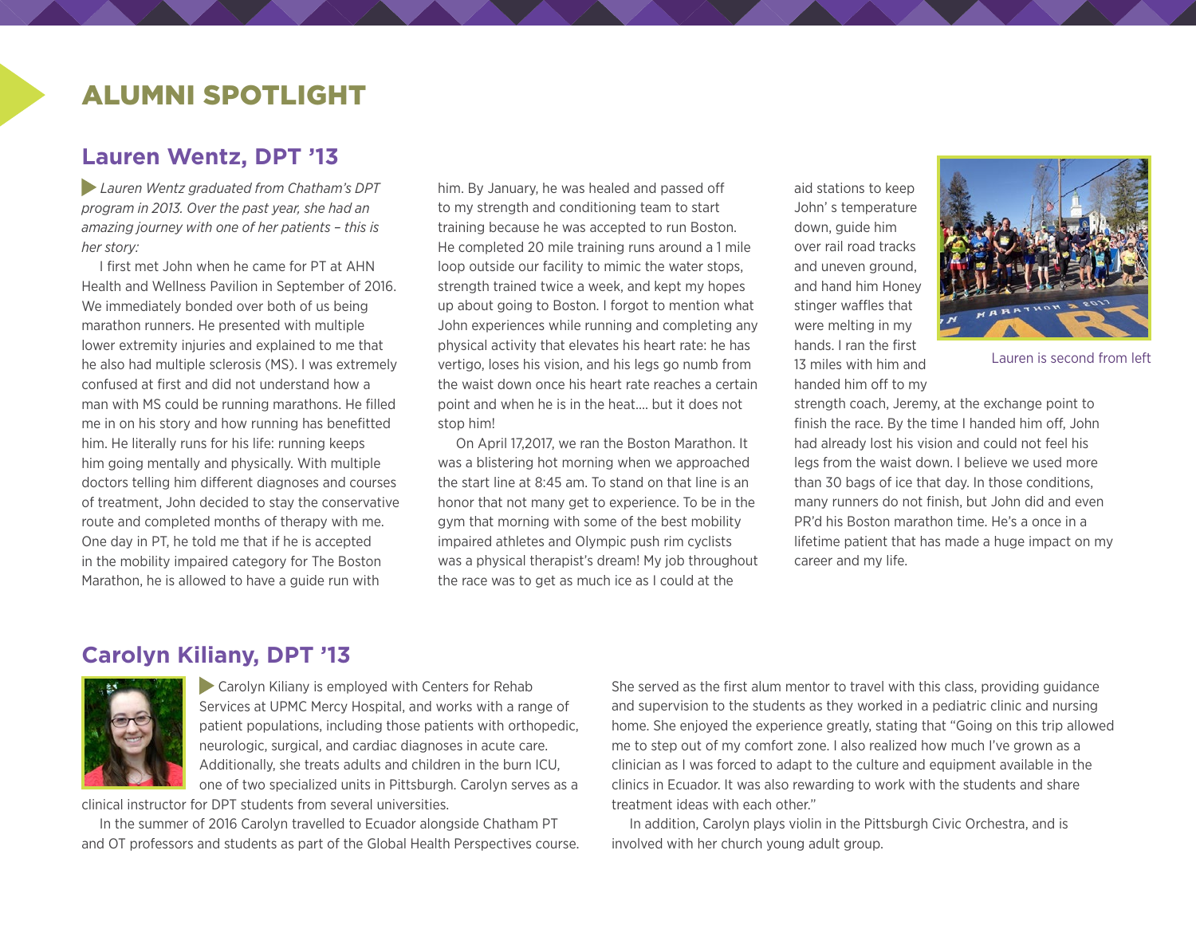### ALUMNI SPOTLIGHT

#### **Lauren Wentz, DPT '13**

*Lauren Wentz graduated from Chatham's DPT program in 2013. Over the past year, she had an amazing journey with one of her patients – this is her story:*

I first met John when he came for PT at AHN Health and Wellness Pavilion in September of 2016. We immediately bonded over both of us being marathon runners. He presented with multiple lower extremity injuries and explained to me that he also had multiple sclerosis (MS). I was extremely confused at first and did not understand how a man with MS could be running marathons. He filled me in on his story and how running has benefitted him. He literally runs for his life: running keeps him going mentally and physically. With multiple doctors telling him different diagnoses and courses of treatment, John decided to stay the conservative route and completed months of therapy with me. One day in PT, he told me that if he is accepted in the mobility impaired category for The Boston Marathon, he is allowed to have a guide run with

him. By January, he was healed and passed off to my strength and conditioning team to start training because he was accepted to run Boston. He completed 20 mile training runs around a 1 mile loop outside our facility to mimic the water stops, strength trained twice a week, and kept my hopes up about going to Boston. I forgot to mention what John experiences while running and completing any physical activity that elevates his heart rate: he has vertigo, loses his vision, and his legs go numb from the waist down once his heart rate reaches a certain point and when he is in the heat…. but it does not stop him!

On April 17,2017, we ran the Boston Marathon. It was a blistering hot morning when we approached the start line at 8:45 am. To stand on that line is an honor that not many get to experience. To be in the gym that morning with some of the best mobility impaired athletes and Olympic push rim cyclists was a physical therapist's dream! My job throughout the race was to get as much ice as I could at the

aid stations to keep John' s temperature down, guide him over rail road tracks and uneven ground, and hand him Honey stinger waffles that were melting in my hands. I ran the first 13 miles with him and handed him off to my



Lauren is second from left

strength coach, Jeremy, at the exchange point to finish the race. By the time I handed him off, John had already lost his vision and could not feel his legs from the waist down. I believe we used more than 30 bags of ice that day. In those conditions, many runners do not finish, but John did and even PR'd his Boston marathon time. He's a once in a lifetime patient that has made a huge impact on my career and my life.

#### **Carolyn Kiliany, DPT '13**



 Carolyn Kiliany is employed with Centers for Rehab Services at UPMC Mercy Hospital, and works with a range of patient populations, including those patients with orthopedic, neurologic, surgical, and cardiac diagnoses in acute care. Additionally, she treats adults and children in the burn ICU, one of two specialized units in Pittsburgh. Carolyn serves as a

clinical instructor for DPT students from several universities.

In the summer of 2016 Carolyn travelled to Ecuador alongside Chatham PT and OT professors and students as part of the Global Health Perspectives course. She served as the first alum mentor to travel with this class, providing guidance and supervision to the students as they worked in a pediatric clinic and nursing home. She enjoyed the experience greatly, stating that "Going on this trip allowed me to step out of my comfort zone. I also realized how much I've grown as a clinician as I was forced to adapt to the culture and equipment available in the clinics in Ecuador. It was also rewarding to work with the students and share treatment ideas with each other."

In addition, Carolyn plays violin in the Pittsburgh Civic Orchestra, and is involved with her church young adult group.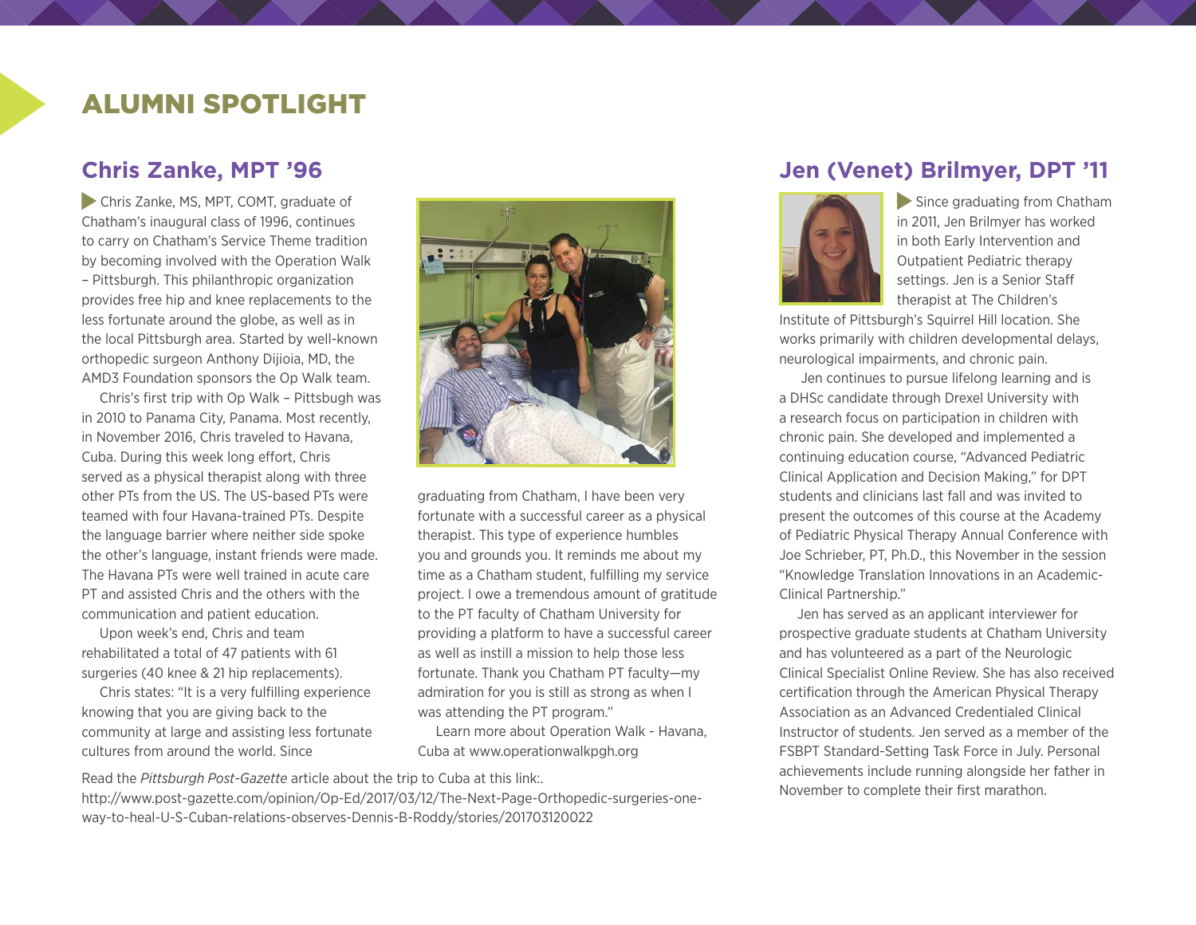### ALUMNI SPOTLIGHT

#### **Chris Zanke, MPT '96**

 Chris Zanke, MS, MPT, COMT, graduate of Chatham's inaugural class of 1996, continues to carry on Chatham's Service Theme tradition by becoming involved with the Operation Walk – Pittsburgh. This philanthropic organization provides free hip and knee replacements to the less fortunate around the globe, as well as in the local Pittsburgh area. Started by well-known orthopedic surgeon Anthony Dijioia, MD, the AMD3 Foundation sponsors the Op Walk team.

Chris's first trip with Op Walk – Pittsbugh was in 2010 to Panama City, Panama. Most recently, in November 2016, Chris traveled to Havana, Cuba. During this week long effort, Chris served as a physical therapist along with three other PTs from the US. The US-based PTs were teamed with four Havana-trained PTs. Despite the language barrier where neither side spoke the other's language, instant friends were made. The Havana PTs were well trained in acute care PT and assisted Chris and the others with the communication and patient education.

Upon week's end, Chris and team rehabilitated a total of 47 patients with 61 surgeries (40 knee & 21 hip replacements).

Chris states: "It is a very fulfilling experience knowing that you are giving back to the community at large and assisting less fortunate cultures from around the world. Since



graduating from Chatham, I have been very fortunate with a successful career as a physical therapist. This type of experience humbles you and grounds you. It reminds me about my time as a Chatham student, fulfilling my service project. I owe a tremendous amount of gratitude to the PT faculty of Chatham University for providing a platform to have a successful career as well as instill a mission to help those less fortunate. Thank you Chatham PT faculty—my admiration for you is still as strong as when I was attending the PT program."

Learn more about Operation Walk - Havana, Cuba at [www.operationwalkpgh.org](http://www.operationwalkpgh.org)

Read the *Pittsburgh Post-Gazette* article about the trip to Cuba at this link:. [http://www.post-gazette.com/opinion/Op-Ed/2017/03/12/The-Next-Page-Orthopedic-surgeries-one](http://www.post-gazette.com/opinion/Op-Ed/2017/03/12/The-Next-Page-Orthopedic-surgeries-one-way-to-heal-U-S-Cuban-relations-observes-Dennis-B-Roddy/stories/201703120022)[way-to-heal-U-S-Cuban-relations-observes-Dennis-B-Roddy/stories/201703120022](http://www.post-gazette.com/opinion/Op-Ed/2017/03/12/The-Next-Page-Orthopedic-surgeries-one-way-to-heal-U-S-Cuban-relations-observes-Dennis-B-Roddy/stories/201703120022)

#### **Jen (Venet) Brilmyer, DPT '11**



Since graduating from Chatham in 2011, Jen Brilmyer has worked in both Early Intervention and Outpatient Pediatric therapy settings. Jen is a Senior Staff therapist at The Children's

Institute of Pittsburgh's Squirrel Hill location. She works primarily with children developmental delays, neurological impairments, and chronic pain.

 Jen continues to pursue lifelong learning and is a DHSc candidate through Drexel University with a research focus on participation in children with chronic pain. She developed and implemented a continuing education course, "Advanced Pediatric Clinical Application and Decision Making," for DPT students and clinicians last fall and was invited to present the outcomes of this course at the Academy of Pediatric Physical Therapy Annual Conference with Joe Schrieber, PT, Ph.D., this November in the session "Knowledge Translation Innovations in an Academic-Clinical Partnership."

Jen has served as an applicant interviewer for prospective graduate students at Chatham University and has volunteered as a part of the Neurologic Clinical Specialist Online Review. She has also received certification through the American Physical Therapy Association as an Advanced Credentialed Clinical Instructor of students. Jen served as a member of the FSBPT Standard-Setting Task Force in July. Personal achievements include running alongside her father in November to complete their first marathon.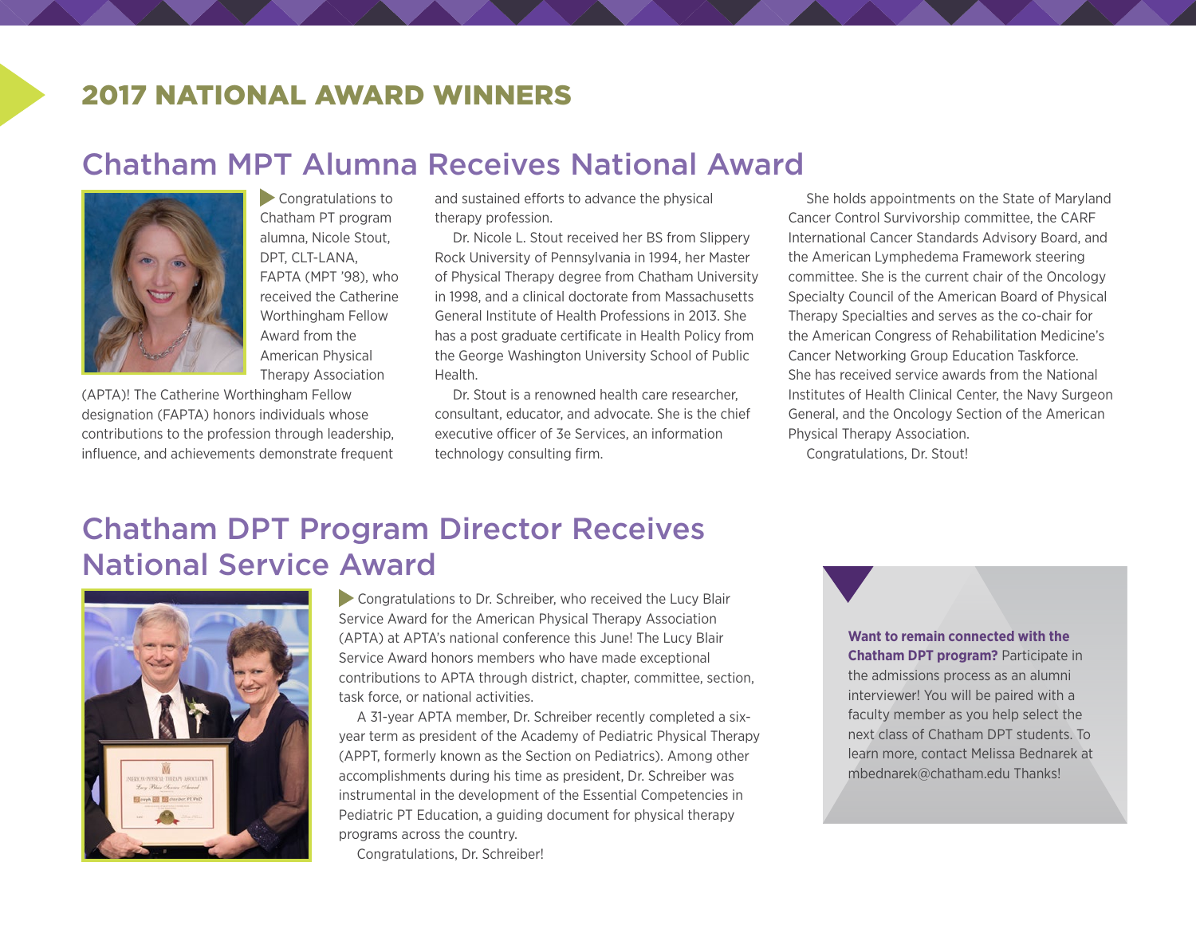### 2017 NATIONAL AWARD WINNERS

### Chatham MPT Alumna Receives National Award



**Congratulations to** Chatham PT program alumna, Nicole Stout, DPT, CLT-LANA, FAPTA (MPT '98), who received the Catherine Worthingham Fellow Award from the American Physical Therapy Association

(APTA)! The Catherine Worthingham Fellow designation (FAPTA) honors individuals whose contributions to the profession through leadership, influence, and achievements demonstrate frequent

and sustained efforts to advance the physical therapy profession.

Dr. Nicole L. Stout received her BS from Slippery Rock University of Pennsylvania in 1994, her Master of Physical Therapy degree from Chatham University in 1998, and a clinical doctorate from Massachusetts General Institute of Health Professions in 2013. She has a post graduate certificate in Health Policy from the George Washington University School of Public Health.

Dr. Stout is a renowned health care researcher, consultant, educator, and advocate. She is the chief executive officer of 3e Services, an information technology consulting firm.

She holds appointments on the State of Maryland Cancer Control Survivorship committee, the CARF International Cancer Standards Advisory Board, and the American Lymphedema Framework steering committee. She is the current chair of the Oncology Specialty Council of the American Board of Physical Therapy Specialties and serves as the co-chair for the American Congress of Rehabilitation Medicine's Cancer Networking Group Education Taskforce. She has received service awards from the National Institutes of Health Clinical Center, the Navy Surgeon General, and the Oncology Section of the American Physical Therapy Association.

Congratulations, Dr. Stout!

## Chatham DPT Program Director Receives National Service Award



Congratulations to Dr. Schreiber, who received the Lucy Blair Service Award for the American Physical Therapy Association (APTA) at APTA's national conference this June! The Lucy Blair Service Award honors members who have made exceptional contributions to APTA through district, chapter, committee, section, task force, or national activities.

A 31-year APTA member, Dr. Schreiber recently completed a sixyear term as president of the Academy of Pediatric Physical Therapy (APPT, formerly known as the Section on Pediatrics). Among other accomplishments during his time as president, Dr. Schreiber was instrumental in the development of the Essential Competencies in Pediatric PT Education, a guiding document for physical therapy programs across the country.

Congratulations, Dr. Schreiber!

#### **Want to remain connected with the Chatham DPT program?** Participate in the admissions process as an alumni interviewer! You will be paired with a faculty member as you help select the next class of Chatham DPT students. To learn more, contact Melissa Bednarek at [mbednarek@chatham.edu](mailto:mbednarek@chatham.edu) Thanks!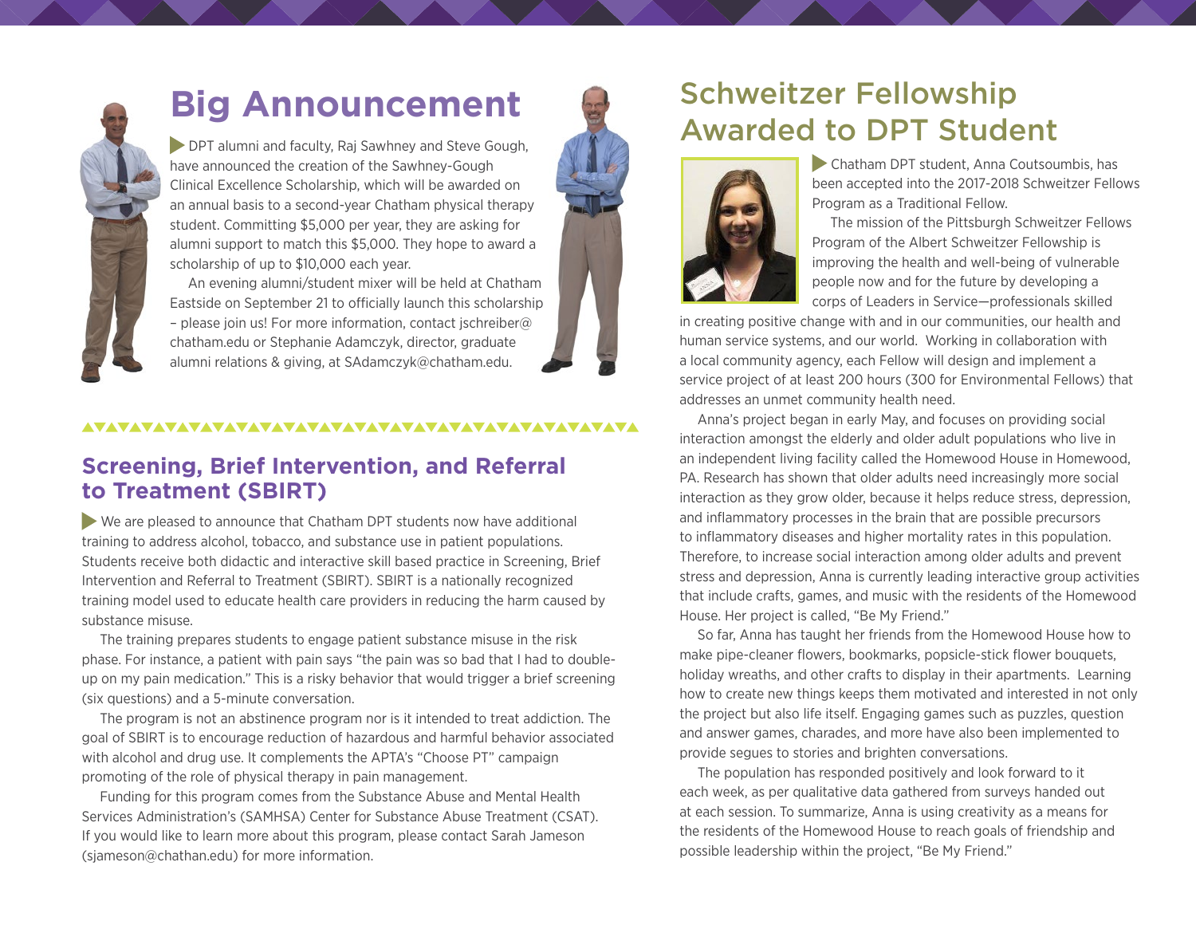

# **Big Announcement**

DPT alumni and faculty, Raj Sawhney and Steve Gough, have announced the creation of the Sawhney-Gough Clinical Excellence Scholarship, which will be awarded on an annual basis to a second-year Chatham physical therapy student. Committing \$5,000 per year, they are asking for alumni support to match this \$5,000. They hope to award a scholarship of up to \$10,000 each year.

An evening alumni/student mixer will be held at Chatham Eastside on September 21 to officially launch this scholarship – please join us! For more information, contact [jschreiber@](mailto:jschreiber@chatham.edu) [chatham.edu](mailto:jschreiber@chatham.edu) or Stephanie Adamczyk, director, graduate alumni relations & giving, at [SAdamczyk@chatham.edu](mailto:SAdamczyk@chatham.edu).

### **Screening, Brief Intervention, and Referral to Treatment (SBIRT)**

 We are pleased to announce that Chatham DPT students now have additional training to address alcohol, tobacco, and substance use in patient populations. Students receive both didactic and interactive skill based practice in Screening, Brief Intervention and Referral to Treatment (SBIRT). SBIRT is a nationally recognized training model used to educate health care providers in reducing the harm caused by substance misuse.

The training prepares students to engage patient substance misuse in the risk phase. For instance, a patient with pain says "the pain was so bad that I had to doubleup on my pain medication." This is a risky behavior that would trigger a brief screening (six questions) and a 5-minute conversation.

The program is not an abstinence program nor is it intended to treat addiction. The goal of SBIRT is to encourage reduction of hazardous and harmful behavior associated with alcohol and drug use. It complements the APTA's "Choose PT" campaign promoting of the role of physical therapy in pain management.

Funding for this program comes from the Substance Abuse and Mental Health Services Administration's (SAMHSA) Center for Substance Abuse Treatment (CSAT). If you would like to learn more about this program, please contact Sarah Jameson (sjameson@chathan.edu) for more information.

### Schweitzer Fellowship Awarded to DPT Student



 Chatham DPT student, Anna Coutsoumbis, has been accepted into the 2017-2018 Schweitzer Fellows Program as a Traditional Fellow.

The mission of the Pittsburgh Schweitzer Fellows Program of the Albert Schweitzer Fellowship is improving the health and well-being of vulnerable people now and for the future by developing a corps of Leaders in Service—professionals skilled

in creating positive change with and in our communities, our health and human service systems, and our world. Working in collaboration with a local community agency, each Fellow will design and implement a service project of at least 200 hours (300 for Environmental Fellows) that addresses an unmet community health need.

Anna's project began in early May, and focuses on providing social interaction amongst the elderly and older adult populations who live in an independent living facility called the Homewood House in Homewood, PA. Research has shown that older adults need increasingly more social interaction as they grow older, because it helps reduce stress, depression, and inflammatory processes in the brain that are possible precursors to inflammatory diseases and higher mortality rates in this population. Therefore, to increase social interaction among older adults and prevent stress and depression, Anna is currently leading interactive group activities that include crafts, games, and music with the residents of the Homewood House. Her project is called, "Be My Friend."

So far, Anna has taught her friends from the Homewood House how to make pipe-cleaner flowers, bookmarks, popsicle-stick flower bouquets, holiday wreaths, and other crafts to display in their apartments. Learning how to create new things keeps them motivated and interested in not only the project but also life itself. Engaging games such as puzzles, question and answer games, charades, and more have also been implemented to provide segues to stories and brighten conversations.

The population has responded positively and look forward to it each week, as per qualitative data gathered from surveys handed out at each session. To summarize, Anna is using creativity as a means for the residents of the Homewood House to reach goals of friendship and possible leadership within the project, "Be My Friend."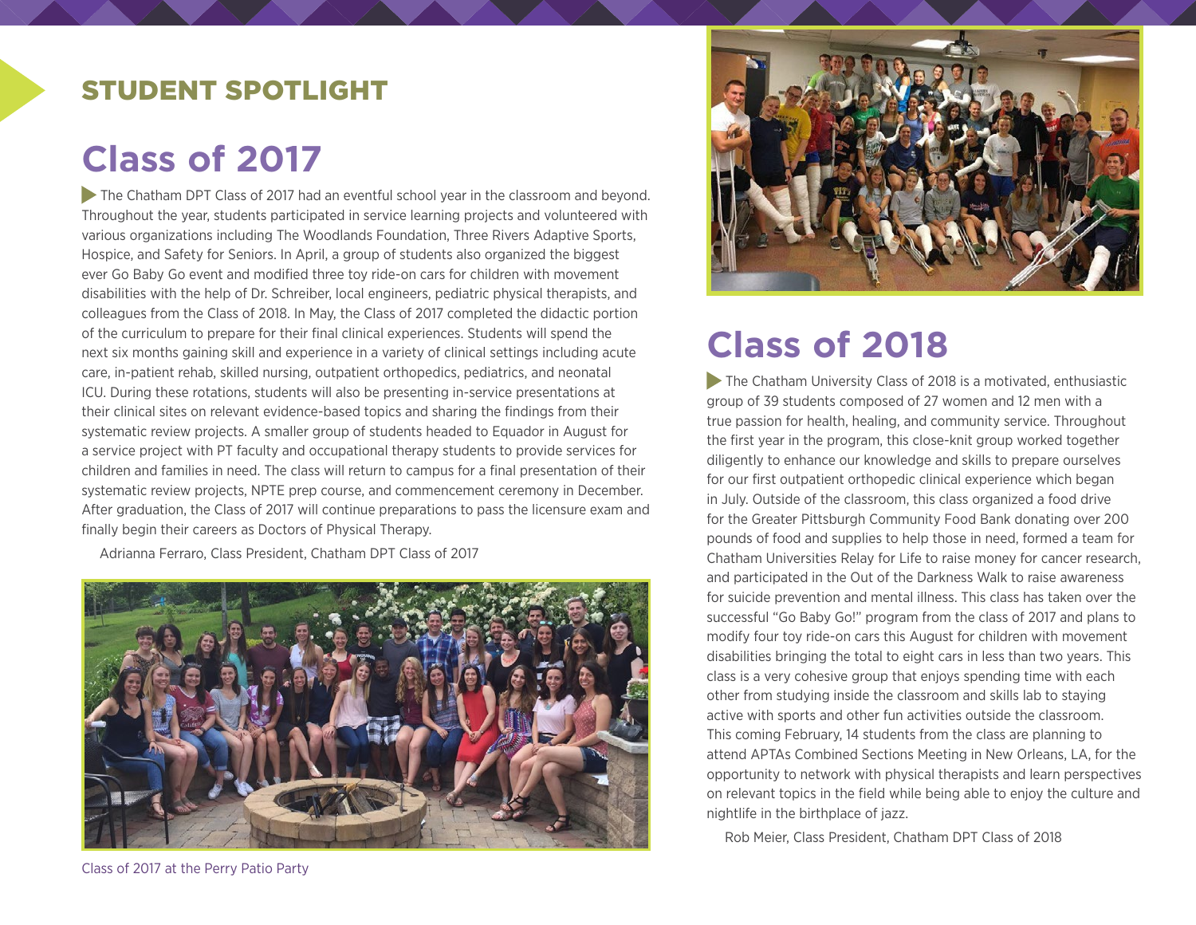### STUDENT SPOTLIGHT

# **Class of 2017**

The Chatham DPT Class of 2017 had an eventful school year in the classroom and beyond. Throughout the year, students participated in service learning projects and volunteered with various organizations including The Woodlands Foundation, Three Rivers Adaptive Sports, Hospice, and Safety for Seniors. In April, a group of students also organized the biggest ever Go Baby Go event and modified three toy ride-on cars for children with movement disabilities with the help of Dr. Schreiber, local engineers, pediatric physical therapists, and colleagues from the Class of 2018. In May, the Class of 2017 completed the didactic portion of the curriculum to prepare for their final clinical experiences. Students will spend the next six months gaining skill and experience in a variety of clinical settings including acute care, in-patient rehab, skilled nursing, outpatient orthopedics, pediatrics, and neonatal ICU. During these rotations, students will also be presenting in-service presentations at their clinical sites on relevant evidence-based topics and sharing the findings from their systematic review projects. A smaller group of students headed to Equador in August for a service project with PT faculty and occupational therapy students to provide services for children and families in need. The class will return to campus for a final presentation of their systematic review projects, NPTE prep course, and commencement ceremony in December. After graduation, the Class of 2017 will continue preparations to pass the licensure exam and finally begin their careers as Doctors of Physical Therapy.

Adrianna Ferraro, Class President, Chatham DPT Class of 2017





# **Class of 2018**

The Chatham University Class of 2018 is a motivated, enthusiastic group of 39 students composed of 27 women and 12 men with a true passion for health, healing, and community service. Throughout the first year in the program, this close-knit group worked together diligently to enhance our knowledge and skills to prepare ourselves for our first outpatient orthopedic clinical experience which began in July. Outside of the classroom, this class organized a food drive for the Greater Pittsburgh Community Food Bank donating over 200 pounds of food and supplies to help those in need, formed a team for Chatham Universities Relay for Life to raise money for cancer research, and participated in the Out of the Darkness Walk to raise awareness for suicide prevention and mental illness. This class has taken over the successful "Go Baby Go!" program from the class of 2017 and plans to modify four toy ride-on cars this August for children with movement disabilities bringing the total to eight cars in less than two years. This class is a very cohesive group that enjoys spending time with each other from studying inside the classroom and skills lab to staying active with sports and other fun activities outside the classroom. This coming February, 14 students from the class are planning to attend APTAs Combined Sections Meeting in New Orleans, LA, for the opportunity to network with physical therapists and learn perspectives on relevant topics in the field while being able to enjoy the culture and nightlife in the birthplace of jazz.

Rob Meier, Class President, Chatham DPT Class of 2018

Class of 2017 at the Perry Patio Party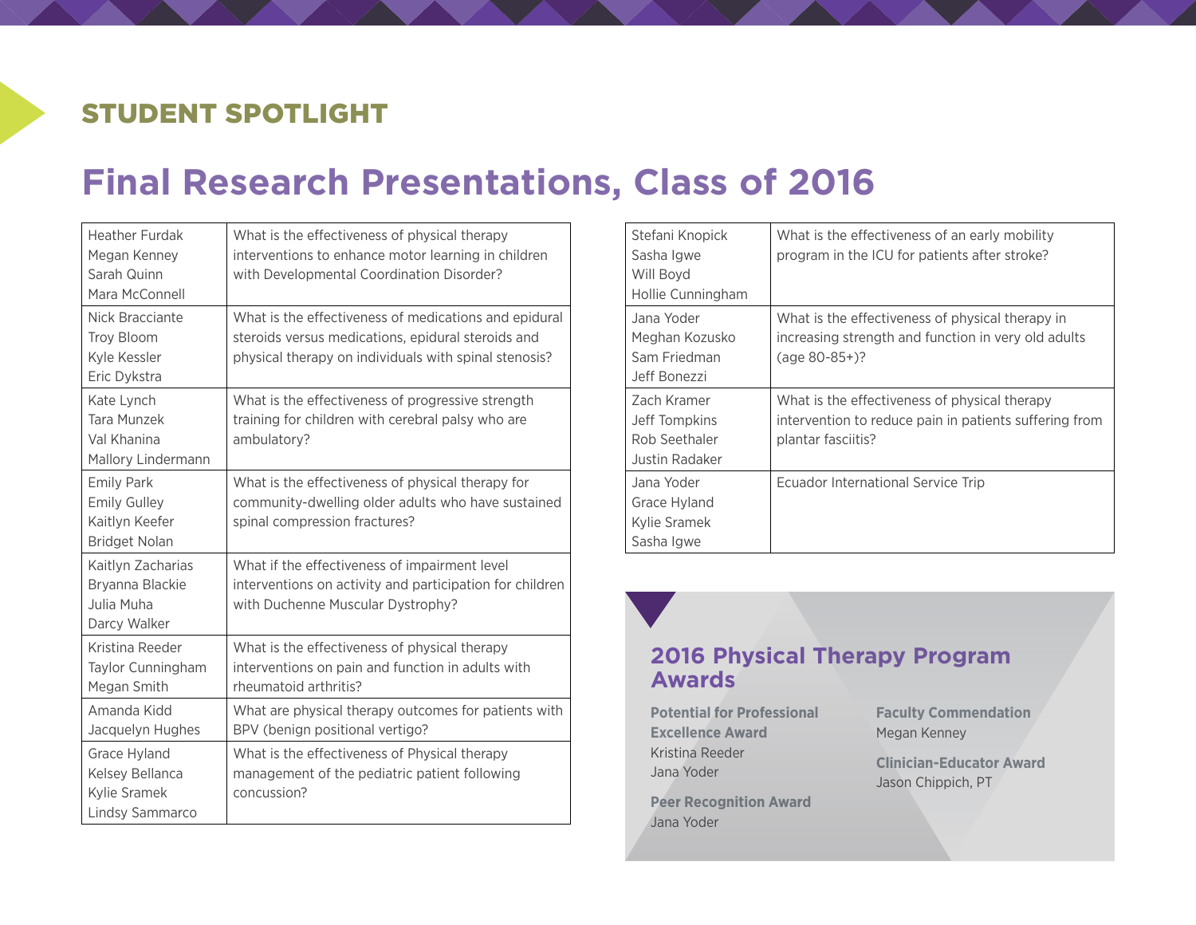## STUDENT SPOTLIGHT

# **Final Research Presentations, Class of 2016**

| <b>Heather Furdak</b><br>Megan Kenney<br>Sarah Quinn<br>Mara McConnell             | What is the effectiveness of physical therapy<br>interventions to enhance motor learning in children<br>with Developmental Coordination Disorder?                    |
|------------------------------------------------------------------------------------|----------------------------------------------------------------------------------------------------------------------------------------------------------------------|
| Nick Bracciante<br>Troy Bloom<br>Kyle Kessler<br>Eric Dykstra                      | What is the effectiveness of medications and epidural<br>steroids versus medications, epidural steroids and<br>physical therapy on individuals with spinal stenosis? |
| Kate Lynch<br>Tara Munzek<br>Val Khanina<br>Mallory Lindermann                     | What is the effectiveness of progressive strength<br>training for children with cerebral palsy who are<br>ambulatory?                                                |
| <b>Emily Park</b><br><b>Emily Gulley</b><br>Kaitlyn Keefer<br><b>Bridget Nolan</b> | What is the effectiveness of physical therapy for<br>community-dwelling older adults who have sustained<br>spinal compression fractures?                             |
| Kaitlyn Zacharias<br>Bryanna Blackie<br>Julia Muha<br>Darcy Walker                 | What if the effectiveness of impairment level<br>interventions on activity and participation for children<br>with Duchenne Muscular Dystrophy?                       |
| Kristina Reeder<br>Taylor Cunningham<br>Megan Smith                                | What is the effectiveness of physical therapy<br>interventions on pain and function in adults with<br>rheumatoid arthritis?                                          |
| Amanda Kidd<br>Jacquelyn Hughes                                                    | What are physical therapy outcomes for patients with<br>BPV (benign positional vertigo?                                                                              |
| Grace Hyland<br>Kelsey Bellanca<br>Kylie Sramek<br>Lindsy Sammarco                 | What is the effectiveness of Physical therapy<br>management of the pediatric patient following<br>concussion?                                                        |

| Stefani Knopick<br>Sasha Igwe<br>Will Boyd<br>Hollie Cunningham | What is the effectiveness of an early mobility<br>program in the ICU for patients after stroke?                               |
|-----------------------------------------------------------------|-------------------------------------------------------------------------------------------------------------------------------|
| Jana Yoder<br>Meghan Kozusko<br>Sam Friedman<br>Jeff Bonezzi    | What is the effectiveness of physical therapy in<br>increasing strength and function in very old adults<br>$(age 80-85+)$ ?   |
| Zach Kramer<br>Jeff Tompkins<br>Rob Seethaler<br>Justin Radaker | What is the effectiveness of physical therapy<br>intervention to reduce pain in patients suffering from<br>plantar fasciitis? |
| Jana Yoder<br>Grace Hyland<br>Kylie Sramek<br>Sasha Igwe        | Ecuador International Service Trip                                                                                            |

#### **2016 Physical Therapy Program Awards**

**Potential for Professional Excellence Award** Kristina Reeder Jana Yoder

**Peer Recognition Award** Jana Yoder

**Faculty Commendation** Megan Kenney

**Clinician-Educator Award** Jason Chippich, PT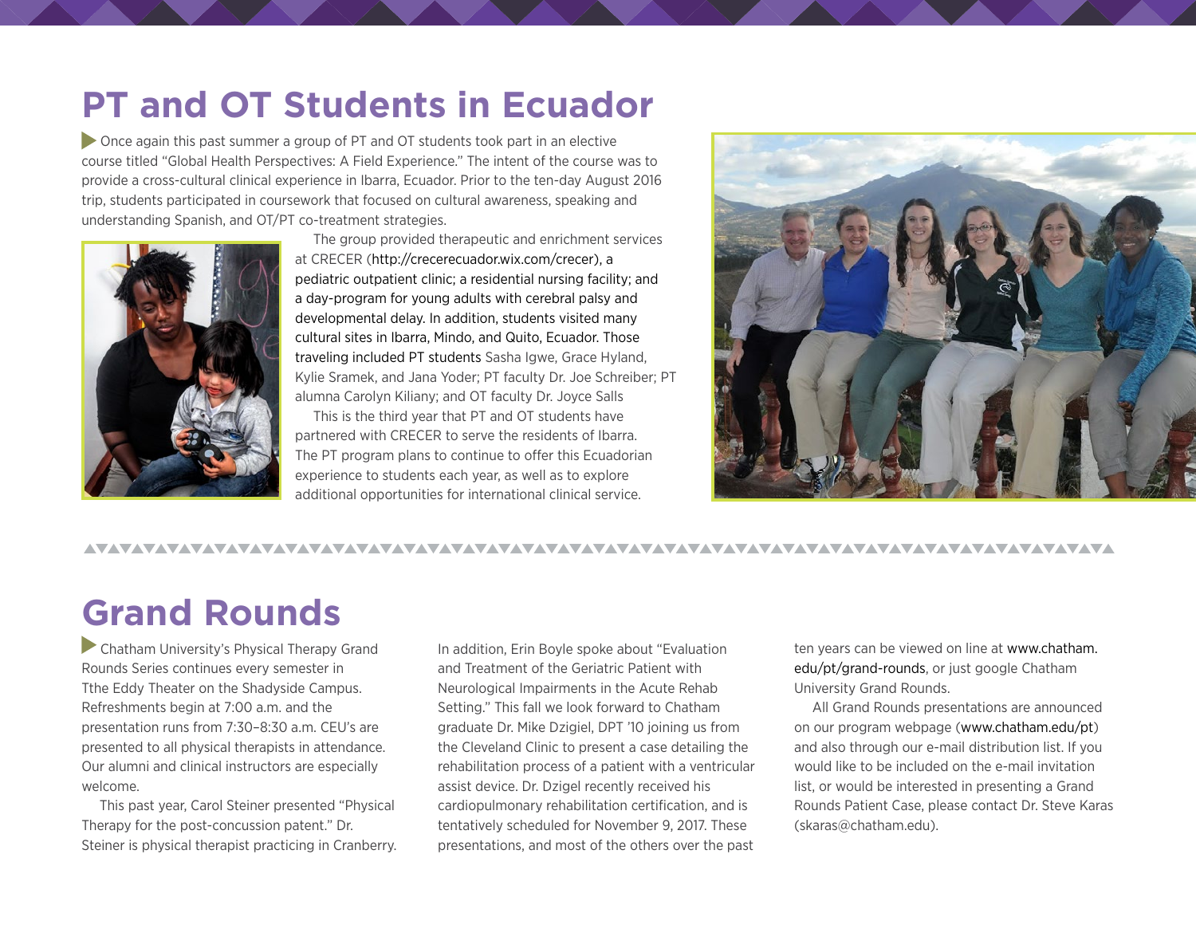# **PT and OT Students in Ecuador**

 Once again this past summer a group of PT and OT students took part in an elective course titled "Global Health Perspectives: A Field Experience." The intent of the course was to provide a cross-cultural clinical experience in Ibarra, Ecuador. Prior to the ten-day August 2016 trip, students participated in coursework that focused on cultural awareness, speaking and understanding Spanish, and OT/PT co-treatment strategies.



The group provided therapeutic and enrichment services at CRECER [\(http://crecerecuador.wix.com/crecer](http://crecerecuador.wix.com/crecer)), a pediatric outpatient clinic; a residential nursing facility; and a day-program for young adults with cerebral palsy and developmental delay. In addition, students visited many cultural sites in Ibarra, Mindo, and Quito, Ecuador. Those traveling included PT students Sasha Igwe, Grace Hyland, Kylie Sramek, and Jana Yoder; PT faculty Dr. Joe Schreiber; PT alumna Carolyn Kiliany; and OT faculty Dr. Joyce Salls

This is the third year that PT and OT students have partnered with CRECER to serve the residents of Ibarra. The PT program plans to continue to offer this Ecuadorian experience to students each year, as well as to explore additional opportunities for international clinical service.



#### 

# **Grand Rounds**

 Chatham University's Physical Therapy Grand Rounds Series continues every semester in Tthe Eddy Theater on the Shadyside Campus. Refreshments begin at 7:00 a.m. and the presentation runs from 7:30–8:30 a.m. CEU's are presented to all physical therapists in attendance. Our alumni and clinical instructors are especially welcome.

This past year, Carol Steiner presented "Physical Therapy for the post-concussion patent." Dr. Steiner is physical therapist practicing in Cranberry. In addition, Erin Boyle spoke about "Evaluation and Treatment of the Geriatric Patient with Neurological Impairments in the Acute Rehab Setting." This fall we look forward to Chatham graduate Dr. Mike Dzigiel, DPT '10 joining us from the Cleveland Clinic to present a case detailing the rehabilitation process of a patient with a ventricular assist device. Dr. Dzigel recently received his cardiopulmonary rehabilitation certification, and is tentatively scheduled for November 9, 2017. These presentations, and most of the others over the past ten years can be viewed on line at [www.chatham.](https://www.chatham.edu/pt/grand-rounds/) [edu/pt/grand-rounds,](https://www.chatham.edu/pt/grand-rounds/) or just google Chatham University Grand Rounds.

All Grand Rounds presentations are announced on our program webpage [\(www.chatham.edu/pt](http://www.chatham.edu/pt/)) and also through our e-mail distribution list. If you would like to be included on the e-mail invitation list, or would be interested in presenting a Grand Rounds Patient Case, please contact Dr. Steve Karas (skaras@chatham.edu).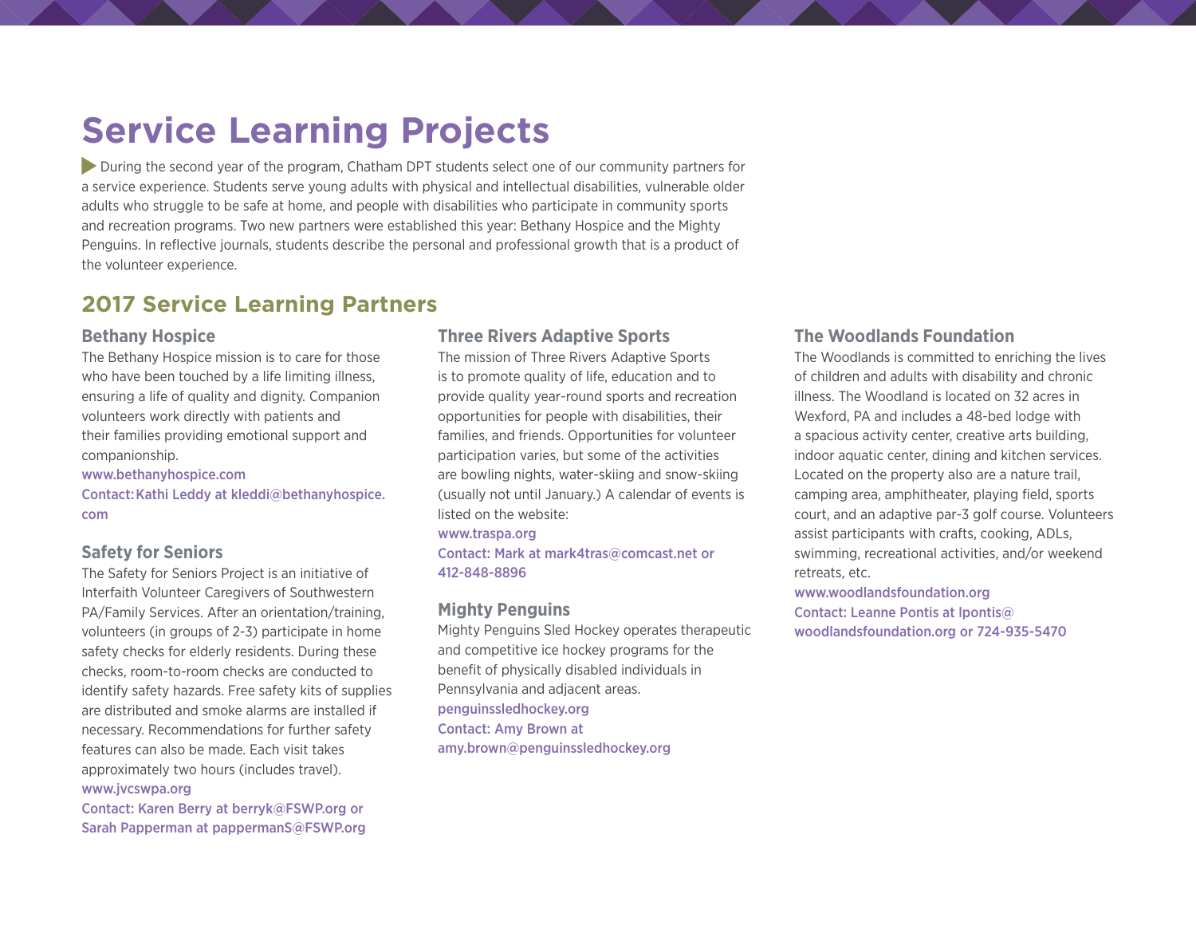# **Service Learning Projects**

 During the second year of the program, Chatham DPT students select one of our community partners for a service experience. Students serve young adults with physical and intellectual disabilities, vulnerable older adults who struggle to be safe at home, and people with disabilities who participate in community sports and recreation programs. Two new partners were established this year: Bethany Hospice and the Mighty Penguins. In reflective journals, students describe the personal and professional growth that is a product of the volunteer experience.

#### **2017 Service Learning Partners**

#### **Bethany Hospice**

The Bethany Hospice mission is to care for those who have been touched by a life limiting illness. ensuring a life of quality and dignity. Companion volunteers work directly with patients and their families providing emotional support and companionship.

#### [www.bethanyhospice.com](http://www.bethanyhospice.com)

Contact:Kathi Leddy at kleddi@bethanyhospice. com

#### **Safety for Seniors**

The Safety for Seniors Project is an initiative of Interfaith Volunteer Caregivers of Southwestern PA/Family Services. After an orientation/training, volunteers (in groups of 2-3) participate in home safety checks for elderly residents. During these checks, room-to-room checks are conducted to identify safety hazards. Free safety kits of supplies are distributed and smoke alarms are installed if necessary. Recommendations for further safety features can also be made. Each visit takes approximately two hours (includes travel). [www.jvcswpa.org](http://www.jvcswpa.org)

Contact: Karen Berry at [berryk@FSWP.org](file:///Users/kterpack/Dropbox/Newsletter%20DPT%202017/berryk@FSWP.org) or Sarah Papperman at [pappermanS@FSWP.org](mailto:pappermanS@FSWP.org)

#### **Three Rivers Adaptive Sports**

The mission of Three Rivers Adaptive Sports is to promote quality of life, education and to provide quality year-round sports and recreation opportunities for people with disabilities, their families, and friends. Opportunities for volunteer participation varies, but some of the activities are bowling nights, water-skiing and snow-skiing (usually not until January.) A calendar of events is listed on the website:

#### [www.traspa.org](file:///Users/kterpack/Dropbox/Newsletter%20DPT%202017/www.traspa.org)

Contact: Mark at [mark4tras@comcast.net](file:///Users/kterpack/Dropbox/Newsletter%20DPT%202017/mark4tras@comcast.net%20%20) or 412-848-8896

#### **Mighty Penguins**

Mighty Penguins Sled Hockey operates therapeutic and competitive ice hockey programs for the benefit of physically disabled individuals in Pennsylvania and adjacent areas. [penguinssledhockey.org](http://penguinssledhockey.org) Contact: Amy Brown at [amy.brown@penguinssledhockey.org](file:///Users/kterpack/Dropbox/Newsletter%20DPT%202017/amy.brown@penguinssledhockey.org)

#### **The Woodlands Foundation**

The Woodlands is committed to enriching the lives of children and adults with disability and chronic illness. The Woodland is located on 32 acres in Wexford, PA and includes a 48-bed lodge with a spacious activity center, creative arts building, indoor aquatic center, dining and kitchen services. Located on the property also are a nature trail, camping area, amphitheater, playing field, sports court, and an adaptive par-3 golf course. Volunteers assist participants with crafts, cooking, ADLs, swimming, recreational activities, and/or weekend retreats, etc.

[www.woodlandsfoundation.org](file:///Users/kterpack/Dropbox/Newsletter%20DPT%202017/www.woodlandsfoundation.org) Contact: Leanne Pontis at [lpontis@](file:///Users/kterpack/Dropbox/Newsletter%20DPT%202017/lpontis@woodlandsfoundation.org) [woodlandsfoundation.org](file:///Users/kterpack/Dropbox/Newsletter%20DPT%202017/lpontis@woodlandsfoundation.org) or 724-935-5470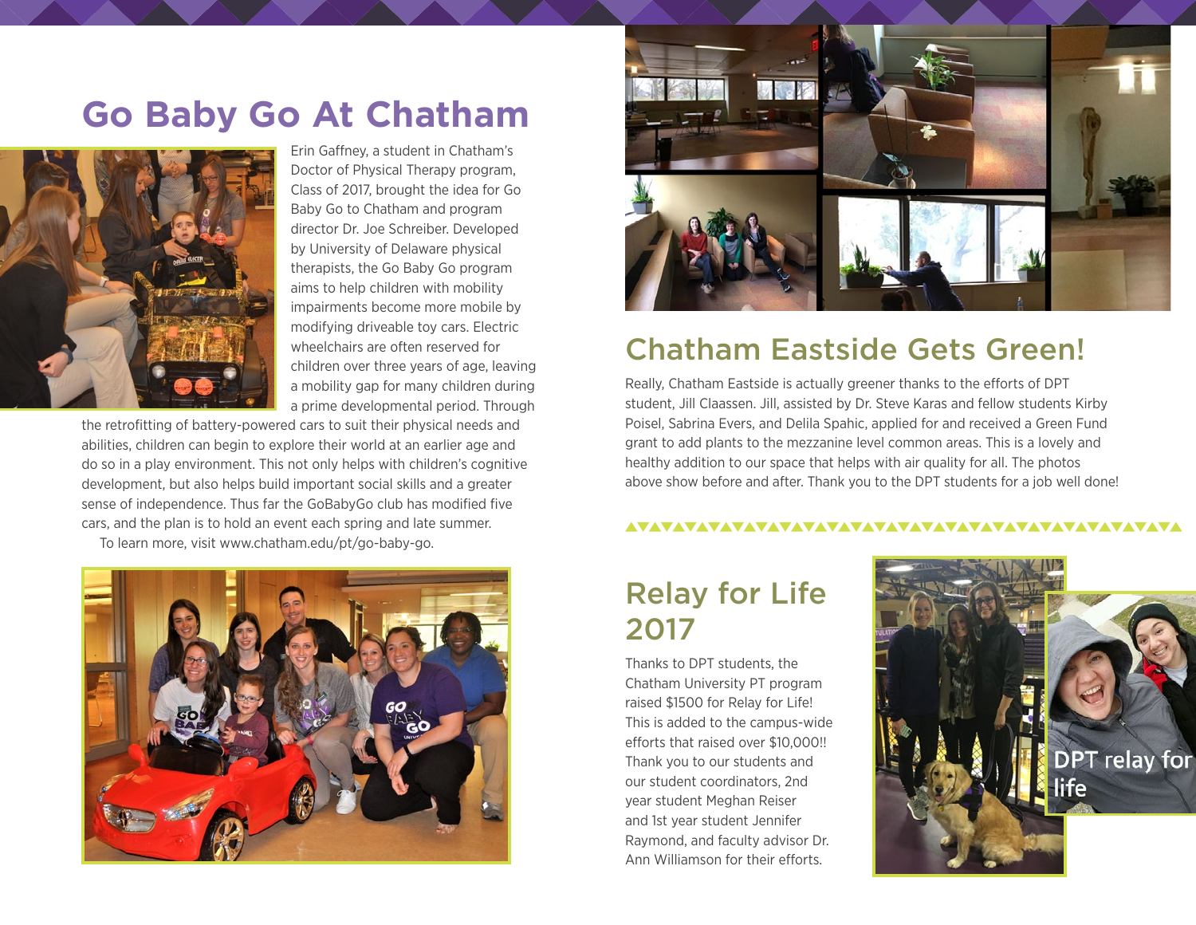# **Go Baby Go At Chatham**



Erin Gaffney, a student in Chatham's Doctor of Physical Therapy program, Class of 2017, brought the idea for Go Baby Go to Chatham and program director Dr. Joe Schreiber. Developed by University of Delaware physical therapists, the Go Baby Go program aims to help children with mobility impairments become more mobile by modifying driveable toy cars. Electric wheelchairs are often reserved for children over three years of age, leaving a mobility gap for many children during a prime developmental period. Through

the retrofitting of battery-powered cars to suit their physical needs and abilities, children can begin to explore their world at an earlier age and do so in a play environment. This not only helps with children's cognitive development, but also helps build important social skills and a greater sense of independence. Thus far the GoBabyGo club has modified five cars, and the plan is to hold an event each spring and late summer.

To learn more, visit [www.chatham.edu/pt/go-baby-g](https://www.chatham.edu/pt/go-baby-go/)o.





### Chatham Eastside Gets Green!

Really, Chatham Eastside is actually greener thanks to the efforts of DPT student, Jill Claassen. Jill, assisted by Dr. Steve Karas and fellow students Kirby Poisel, Sabrina Evers, and Delila Spahic, applied for and received a Green Fund grant to add plants to the mezzanine level common areas. This is a lovely and healthy addition to our space that helps with air quality for all. The photos above show before and after. Thank you to the DPT students for a job well done!

#### 

# Relay for Life 2017

Thanks to DPT students, the Chatham University PT program raised \$1500 for Relay for Life! This is added to the campus-wide efforts that raised over \$10,000!! Thank you to our students and our student coordinators, 2nd year student Meghan Reiser and 1st year student Jennifer Raymond, and faculty advisor Dr. Ann Williamson for their efforts.

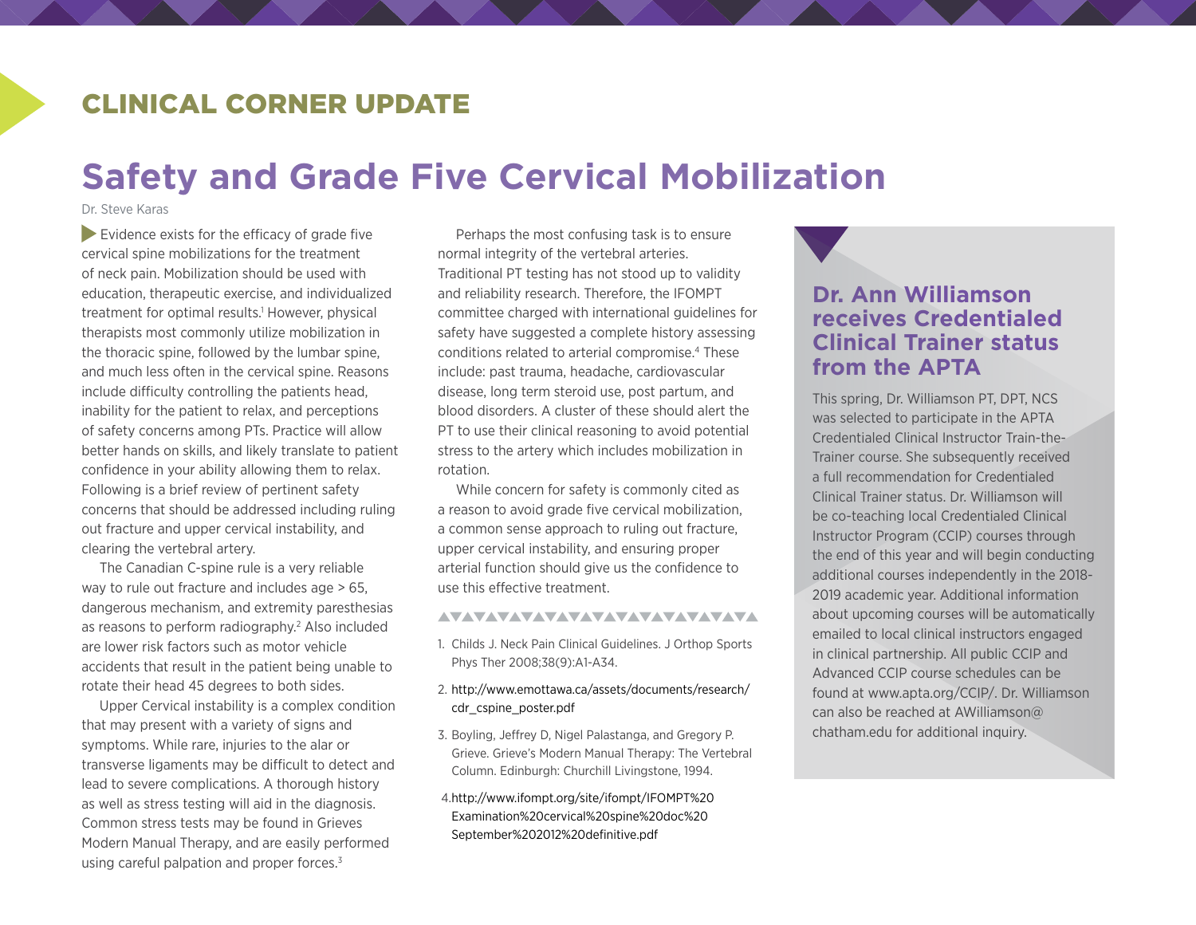### CLINICAL CORNER UPDATE

# **Safety and Grade Five Cervical Mobilization**

Dr. Steve Karas

 Evidence exists for the efficacy of grade five cervical spine mobilizations for the treatment of neck pain. Mobilization should be used with education, therapeutic exercise, and individualized treatment for optimal results.<sup>1</sup> However, physical therapists most commonly utilize mobilization in the thoracic spine, followed by the lumbar spine, and much less often in the cervical spine. Reasons include difficulty controlling the patients head, inability for the patient to relax, and perceptions of safety concerns among PTs. Practice will allow better hands on skills, and likely translate to patient confidence in your ability allowing them to relax. Following is a brief review of pertinent safety concerns that should be addressed including ruling out fracture and upper cervical instability, and clearing the vertebral artery.

The Canadian C-spine rule is a very reliable way to rule out fracture and includes age > 65, dangerous mechanism, and extremity paresthesias as reasons to perform radiography.<sup>2</sup> Also included are lower risk factors such as motor vehicle accidents that result in the patient being unable to rotate their head 45 degrees to both sides.

Upper Cervical instability is a complex condition that may present with a variety of signs and symptoms. While rare, injuries to the alar or transverse ligaments may be difficult to detect and lead to severe complications. A thorough history as well as stress testing will aid in the diagnosis. Common stress tests may be found in Grieves Modern Manual Therapy, and are easily performed using careful palpation and proper forces.<sup>3</sup>

Perhaps the most confusing task is to ensure normal integrity of the vertebral arteries. Traditional PT testing has not stood up to validity and reliability research. Therefore, the IFOMPT committee charged with international guidelines for safety have suggested a complete history assessing conditions related to arterial compromise.4 These include: past trauma, headache, cardiovascular disease, long term steroid use, post partum, and blood disorders. A cluster of these should alert the PT to use their clinical reasoning to avoid potential stress to the artery which includes mobilization in rotation.

While concern for safety is commonly cited as a reason to avoid grade five cervical mobilization, a common sense approach to ruling out fracture, upper cervical instability, and ensuring proper arterial function should give us the confidence to use this effective treatment.

#### <u>AVAVAVAVAVAVAVAVAVAVAVAVAVA</u>

- 1. Childs J. Neck Pain Clinical Guidelines. J Orthop Sports Phys Ther 2008;38(9):A1-A34.
- 2. [http://www.emottawa.ca/assets/documents/research/](http://www.emottawa.ca/assets/documents/research/cdr_cspine_poster.pdf) [cdr\\_cspine\\_poster.pdf](http://www.emottawa.ca/assets/documents/research/cdr_cspine_poster.pdf)
- 3. Boyling, Jeffrey D, Nigel Palastanga, and Gregory P. Grieve. Grieve's Modern Manual Therapy: The Vertebral Column. Edinburgh: Churchill Livingstone, 1994.
- [4.http://www.ifompt.org/site/ifompt/IFOMPT%20](http://www.ifompt.org/site/ifompt/IFOMPT%20Examination%20cervical%20spine%20doc%20September%202012%20definitive.pdf) [Examination%20cervical%20spine%20doc%20](http://www.ifompt.org/site/ifompt/IFOMPT%20Examination%20cervical%20spine%20doc%20September%202012%20definitive.pdf) [September%202012%20definitive.pdf](http://www.ifompt.org/site/ifompt/IFOMPT%20Examination%20cervical%20spine%20doc%20September%202012%20definitive.pdf)

#### **Dr. Ann Williamson receives Credentialed Clinical Trainer status from the APTA**

This spring, Dr. Williamson PT, DPT, NCS was selected to participate in the APTA Credentialed Clinical Instructor Train-the-Trainer course. She subsequently received a full recommendation for Credentialed Clinical Trainer status. Dr. Williamson will be co-teaching local Credentialed Clinical Instructor Program (CCIP) courses through the end of this year and will begin conducting additional courses independently in the 2018- 2019 academic year. Additional information about upcoming courses will be automatically emailed to local clinical instructors engaged in clinical partnership. All public CCIP and Advanced CCIP course schedules can be found at [www.apta.org/CCIP/](http://www.apta.org/CCIP/). Dr. Williamson can also be reached at [AWilliamson@](mailto:AWilliamson@Chatham.edu) [chatham.edu](mailto:AWilliamson@Chatham.edu) for additional inquiry.